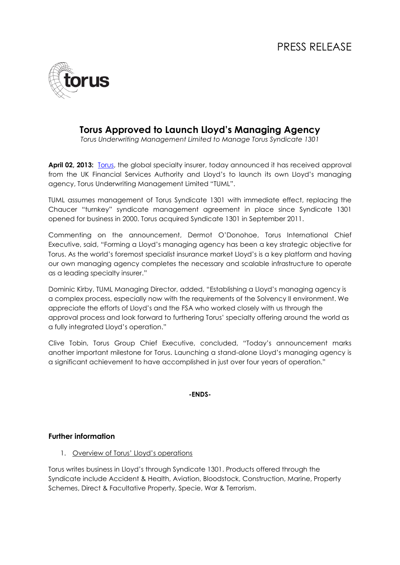

## **Torus Approved to Launch Lloyd's Managing Agency**

*Torus Underwriting Management Limited to Manage Torus Syndicate 1301*

April 02, 2013: [Torus,](http://www.torus.com/) the global specialty insurer, today announced it has received approval from the UK Financial Services Authority and Lloyd's to launch its own Lloyd's managing agency, Torus Underwriting Management Limited "TUML".

TUML assumes management of Torus Syndicate 1301 with immediate effect, replacing the Chaucer "turnkey" syndicate management agreement in place since Syndicate 1301 opened for business in 2000. Torus acquired Syndicate 1301 in September 2011.

Commenting on the announcement, Dermot O'Donohoe, Torus International Chief Executive, said, "Forming a Lloyd's managing agency has been a key strategic objective for Torus. As the world's foremost specialist insurance market Lloyd's is a key platform and having our own managing agency completes the necessary and scalable infrastructure to operate as a leading specialty insurer."

Dominic Kirby, TUML Managing Director, added, "Establishing a Lloyd's managing agency is a complex process, especially now with the requirements of the Solvency II environment. We appreciate the efforts of Lloyd's and the FSA who worked closely with us through the approval process and look forward to furthering Torus' specialty offering around the world as a fully integrated Lloyd's operation."

Clive Tobin, Torus Group Chief Executive, concluded, "Today's announcement marks another important milestone for Torus. Launching a stand-alone Lloyd's managing agency is a significant achievement to have accomplished in just over four years of operation."

### **-ENDS-**

## **Further information**

1. Overview of Torus' Lloyd's operations

Torus writes business in Lloyd's through Syndicate 1301. Products offered through the Syndicate include Accident & Health, Aviation, Bloodstock, Construction, Marine, Property Schemes, Direct & Facultative Property, Specie, War & Terrorism.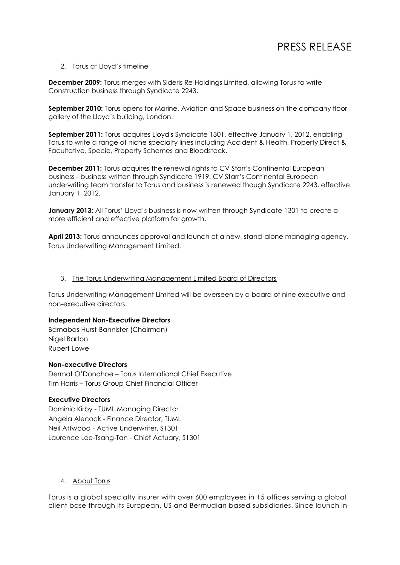# PRESS RELEASE

#### 2. Torus at Lloyd's timeline

**December 2009:** Torus merges with Sideris Re Holdings Limited, allowing Torus to write Construction business through Syndicate 2243.

**September 2010:** Torus opens for Marine, Aviation and Space business on the company floor gallery of the Lloyd's building, London.

**September 2011:** Torus acquires Lloyd's Syndicate 1301, effective January 1, 2012, enabling Torus to write a range of niche specialty lines including Accident & Health, Property Direct & Facultative, Specie, Property Schemes and Bloodstock.

**December 2011:** Torus acquires the renewal rights to CV Starr's Continental European business - business written through Syndicate 1919. CV Starr's Continental European underwriting team transfer to Torus and business is renewed though Syndicate 2243, effective January 1, 2012.

**January 2013:** All Torus' Lloyd's business is now written through Syndicate 1301 to create a more efficient and effective platform for growth.

**April 2013:** Torus announces approval and launch of a new, stand-alone managing agency, Torus Underwriting Management Limited.

#### 3. The Torus Underwriting Management Limited Board of Directors

Torus Underwriting Management Limited will be overseen by a board of nine executive and non-executive directors:

#### **Independent Non-Executive Directors**

Barnabas Hurst-Bannister (Chairman) Nigel Barton Rupert Lowe

#### **Non-executive Directors**

Dermot O'Donohoe – Torus International Chief Executive Tim Harris – Torus Group Chief Financial Officer

#### **Executive Directors**

Dominic Kirby - TUML Managing Director Angela Alecock - Finance Director, TUML Neil Attwood - Active Underwriter, S1301 Laurence Lee-Tsang-Tan - Chief Actuary, S1301

### 4. About Torus

Torus is a global specialty insurer with over 600 employees in 15 offices serving a global client base through its European, US and Bermudian based subsidiaries. Since launch in